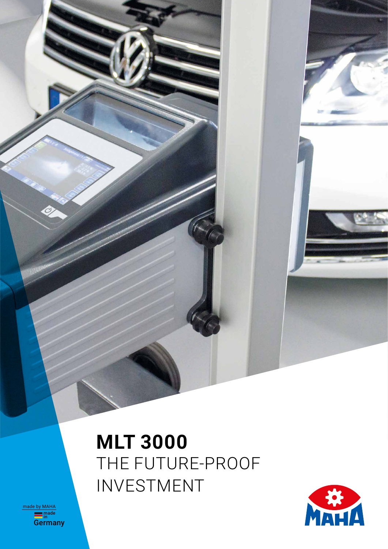# **MLT 3000** THE FUTURE-PROOF INVESTMENT



**<u>made</u><br>Germany** made by MAHA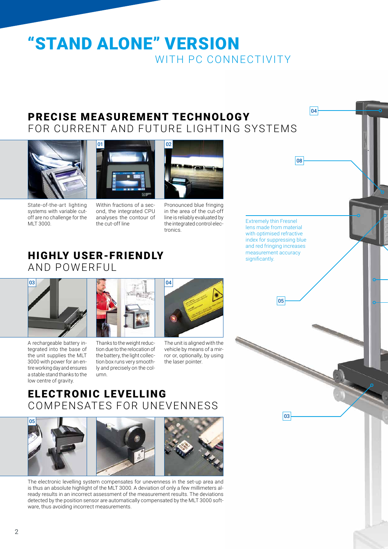# "STAND ALONE" VERSION WITH PC CONNECTIVITY

### PRECISE MEASUREMENT TECHNOLOGY FOR CURRENT AND FUTURE LIGHTING SYSTEMS







Within fractions of a second, the integrated CPU analyses the contour of the cut-off line



Pronounced blue fringing in the area of the cut-off line is reliably evaluated by the integrated control electronics

Extremely thin Fresnel lens made from material with optimised refractive index for suppressing blue and red fringing increases measurement accuracy significantly.

04

08

05

# HIGHLY USER-FRIENDLY AND POWERFUL

01



A rechargeable battery integrated into the base of the unit supplies the MLT 3000 with power for an entire working day and ensures a stable stand thanks to the low centre of gravity.



Thanks to the weight reduction due to the relocation of the battery, the light collection box runs very smoothly and precisely on the column.



The unit is aligned with the vehicle by means of a mirror or, optionally, by using the laser pointer.

# ELECTRONIC LEVELLING COMPENSATES FOR UNEVENNESS







The electronic levelling system compensates for unevenness in the set-up area and is thus an absolute highlight of the MLT 3000. A deviation of only a few millimeters already results in an incorrect assessment of the measurement results. The deviations detected by the position sensor are automatically compensated by the MLT 3000 software, thus avoiding incorrect measurements.

03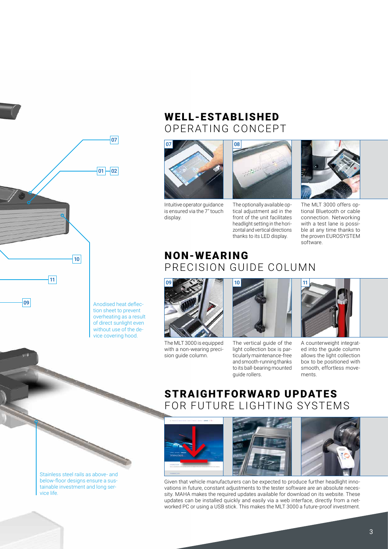

#### WELL-ESTABLISHED OPERATING CONCEPT



Intuitive operator guidance is ensured via the 7″ touch display.



The optionally available optical adjustment aid in the front of the unit facilitates headlight setting in the horizontal and vertical directions thanks to its LED display.



The MLT 3000 offers optional Bluetooth or cable connection. Networking with a test lane is possible at any time thanks to the proven EUROSYSTEM software.

## NON-WEARING PRECISION GUIDE COLUMN



The MLT 3000 is equipped with a non-wearing precision guide column.



The vertical guide of the light collection box is particularly maintenance-free and smooth-running thanks to its ball-bearing mounted guide rollers.



A counterweight integrated into the guide column allows the light collection box to be positioned with smooth, effortless movements.

#### STRAIGHTFORWARD UPDATES FOR FUTURE LIGHTING SYSTEMS





Given that vehicle manufacturers can be expected to produce further headlight innovations in future, constant adjustments to the tester software are an absolute necessity. MAHA makes the required updates available for download on its website. These updates can be installed quickly and easily via a web interface, directly from a networked PC or using a USB stick. This makes the MLT 3000 a future-proof investment.

Anodised heat deflection sheet to prevent overheating as a result of direct sunlight even without use of the device covering hood.

Stainless steel rails as above- and below-floor designs ensure a sustainable investment and long service life.